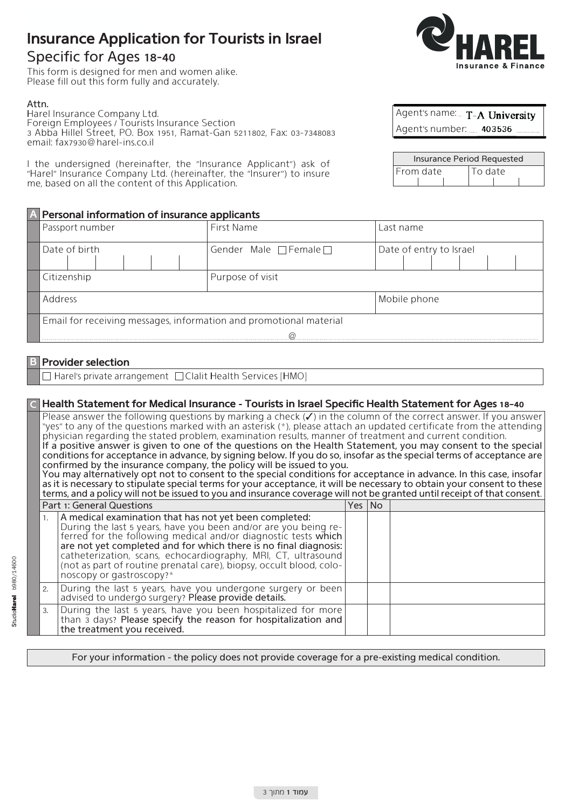# **Insurance Application for Tourists in Israel**

## Specific for Ages 18-40

This form is designed for men and women alike. Please fill out this form fully and accurately.

#### .Attn

Harel Insurance Company Ltd. Foreign Employees / Tourists Insurance Section 3 Abba Hillel Street, PO. Box 1951, Ramat-Gan 5211802, Fax: 03-7348083 email: fax7930@harel-ins.co.il

I the undersigned (hereinafter, the "Insurance Applicant") ask of "Harel" Insurance Company Ltd. (hereinafter, the "Insurer") to insure me, based on all the content of this Application.

## **A** Personal information of insurance applicants

|                 |                                                                    | ---------              |                         |  |
|-----------------|--------------------------------------------------------------------|------------------------|-------------------------|--|
| Passport number |                                                                    | First Name             | Last name               |  |
| Date of birth   |                                                                    | Gender Male □ Female □ | Date of entry to Israel |  |
| Citizenship     |                                                                    | Purpose of visit       |                         |  |
|                 | Address                                                            |                        | Mobile phone            |  |
|                 | Email for receiving messages, information and promotional material |                        |                         |  |
|                 |                                                                    |                        |                         |  |

## **Provider** selection

 $\Box$  Harel's private arrangement  $\Box$  Clalit Health Services [HMO]

### **18-18-10 Health Statement for Medical Insurance - Tourists in Israel Specific Health Statement for Ages 18-40**

Please answer the following questions by marking a check  $(V)$  in the column of the correct answer. If you answer "ves" to any of the questions marked with an asterisk  $(*)$ , please attach an updated certificate from the attending physician regarding the stated problem, examination results, manner of treatment and current condition. If a positive answer is given to one of the questions on the Health Statement, you may consent to the special conditions for acceptance in advance, by signing below. If you do so, insofar as the special terms of acceptance are

confirmed by the insurance company, the policy will be issued to you. You may alternatively opt not to consent to the special conditions for acceptance in advance. In this case, insofar as it is necessary to stipulate special terms for your acceptance, it will be necessary to obtain your consent to these terms, and a policy will not be issued to you and insurance coverage will not be granted until receipt of that consent.

|    | Part 1: General Questions<br>Yes INo                                                                                                                                                                                                                                                                                                                                                                                                           |  |  |  |
|----|------------------------------------------------------------------------------------------------------------------------------------------------------------------------------------------------------------------------------------------------------------------------------------------------------------------------------------------------------------------------------------------------------------------------------------------------|--|--|--|
|    | 1. $\vert$ A medical examination that has not yet been completed:<br>During the last 5 years, have you been and/or are you being re-<br>ferred for the following medical and/or diagnostic tests which<br>are not yet completed and for which there is no final diagnosis:<br>catheterization, scans, echocardiography, MRI, CT, ultrasound<br>(not as part of routine prenatal care), biopsy, occult blood, colo-<br>noscopy or gastroscopy?* |  |  |  |
|    | 2.   During the last 5 years, have you undergone surgery or been <br>advised to undergo surgery? Please provide details.                                                                                                                                                                                                                                                                                                                       |  |  |  |
| 3. | During the last 5 years, have you been hospitalized for more<br>than 3 days? Please specify the reason for hospitalization and<br>the treatment you received.                                                                                                                                                                                                                                                                                  |  |  |  |

For your information - the policy does not provide coverage for a pre-existing medical condition.



| Agent's name: T-A University |  |
|------------------------------|--|
| Agent's number: 403536       |  |

| Insurance Period Requested |         |  |  |
|----------------------------|---------|--|--|
| From date                  | To date |  |  |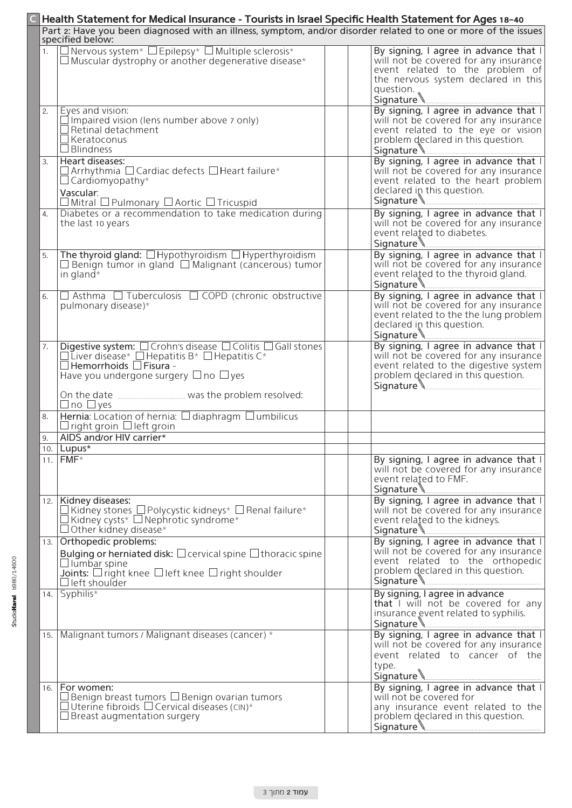|      | Health Statement for Medical Insurance - Tourists in Israel Specific Health Statement for Ages 18-40                                                                                                                                                             |                                                                                                                                                                                    |  |  |  |  |
|------|------------------------------------------------------------------------------------------------------------------------------------------------------------------------------------------------------------------------------------------------------------------|------------------------------------------------------------------------------------------------------------------------------------------------------------------------------------|--|--|--|--|
|      | Part 2: Have you been diagnosed with an illness, symptom, and/or disorder related to one or more of the issues<br>specified below:                                                                                                                               |                                                                                                                                                                                    |  |  |  |  |
| 1.   | $\square$ Nervous system* $\square$ Epilepsy* $\square$ Multiple sclerosis* $\square$ Muscular dystrophy or another degenerative disease*                                                                                                                        | By signing, I agree in advance that I<br>will not be covered for any insurance<br>event related to the problem of<br>the nervous system declared in this<br>question. <sub>a</sub> |  |  |  |  |
| 2.   | Eyes and vision:<br>$\Box$ Impaired vision (lens number above 7 only)<br>$\Box$ Retinal detachment<br>$\Box$ Keratoconus<br>$\Box$ Blindness                                                                                                                     | By signing, I agree in advance that I<br>will not be covered for any insurance<br>event related to the eye or vision<br>problem declared in this question.                         |  |  |  |  |
| 3.   | Heart diseases:<br>$\Box$ Arrhythmia $\Box$ Cardiac defects $\Box$ Heart failure*<br>$\Box$ Cardiomyopathy*<br>Vascular:<br>$\Box$ Mitral $\Box$ Pulmonary $\Box$ Aortic $\Box$ Tricuspid                                                                        | By signing, I agree in advance that I<br>will not be covered for any insurance<br>event related to the heart problem<br>declared in this question.                                 |  |  |  |  |
| 4.   | Diabetes or a recommendation to take medication during<br>the last 10 years                                                                                                                                                                                      | By signing, I agree in advance that I<br>will not be covered for any insurance<br>event related to diabetes.                                                                       |  |  |  |  |
| 5.   | The thyroid gland: $\Box$ Hypothyroidism $\Box$ Hyperthyroidism<br>$\Box$ Benign tumor in gland $\Box'$ Malignant (cancerous) tumor<br>in gland $*$                                                                                                              | By signing, I agree in advance that I<br>will not be covered for any insurance<br>event related to the thyroid gland.<br>Signature <u>Land Communication and Communication</u>     |  |  |  |  |
| 6.   | $\Box$ Asthma $\Box$ Tuberculosis $\Box$ COPD (chronic obstructive<br>pulmonary disease)*                                                                                                                                                                        | By signing, I agree in advance that I<br>will not be covered for any insurance<br>event related to the the lung problem<br>declared in this question.                              |  |  |  |  |
| 7.   | <b>Digestive system:</b> $\Box$ Crohn's disease $\Box$ Colitis $\Box$ Gall stones $\Box$ Liver disease* $\Box$ Hepatitis B* $\Box$ Hepatitis C*<br>$\Box$ Hemorrhoids $\Box$ Fisura -<br>Have you undergone surgery $\Box$ no $\Box$ yes<br>$\Box$ no $\Box$ yes | By signing, I agree in advance that I<br>will not be covered for any insurance<br>event related to the digestive system<br>problem declared in this question.                      |  |  |  |  |
| 8.   | Hernia: Location of hernia: Ddiaphragm Dumbilicus<br>$\Box$ right groin $\Box$ left groin                                                                                                                                                                        |                                                                                                                                                                                    |  |  |  |  |
| 9.   | AIDS and/or HIV carrier*                                                                                                                                                                                                                                         |                                                                                                                                                                                    |  |  |  |  |
|      | 10. $\vert$ Lupus*<br>$11.$ FMF*                                                                                                                                                                                                                                 | By signing, I agree in advance that I<br>will not be covered for any insurance<br>event related to FMF.                                                                            |  |  |  |  |
| 12.  | Kidney diseases:<br>$\Box$ Kidney stones $\Box$ Polycystic kidneys* $\Box$ Renal failure*<br>$\Box$ Kidney cysts* $\Box$ Nephrotic syndrome*<br>$\Box$ Other kidney disease*                                                                                     | By signing, I agree in advance that I<br>will not be covered for any insurance<br>event related to the kidneys.                                                                    |  |  |  |  |
| 13.1 | Orthopedic problems:<br>Bulging or herniated disk: $\Box$ cervical spine $\Box$ thoracic spine<br>$\Box$ Iumbar spine<br><b>Joints:</b> $\Box$ right knee $\Box$ left knee $\Box$ right shoulder<br>$\Box$ left shoulder                                         | By signing, I agree in advance that I<br>will not be covered for any insurance<br>event related to the orthopedic<br>problem declared in this question.                            |  |  |  |  |
|      | 14. Syphilis*                                                                                                                                                                                                                                                    | By signing, I agree in advance<br>that I will not be covered for any<br>insurance event related to syphilis.                                                                       |  |  |  |  |
| 15.  | Malignant tumors / Malignant diseases (cancer) *                                                                                                                                                                                                                 | By signing, I agree in advance that I<br>will not be covered for any insurance<br>event related to cancer of the<br>type.                                                          |  |  |  |  |
| 16.  | For women:<br>$\square$ Benign breast tumors $\square$ Benign ovarian tumors<br>$\Box$ Uterine fibroids $\Box$ Cervical diseases (CIN)*<br>$\Box$ Breast augmentation surgery                                                                                    | By signing, I agree in advance that I<br>will not be covered for<br>any insurance event related to the<br>problem declared in this question.                                       |  |  |  |  |